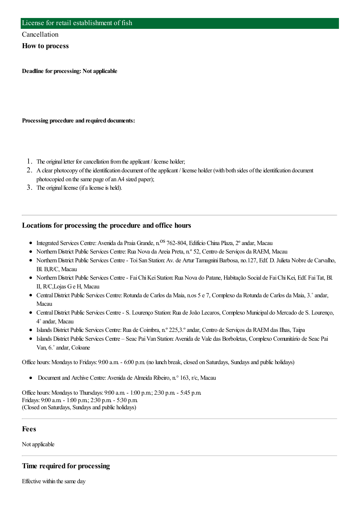#### Cancellation

#### **How to process**

**Deadline for processing: Not applicable**

**Processing procedure and required documents:**

- 1. The original letter for cancellation from the applicant / license holder;
- 2. A clear photocopy of the identification document of the applicant / license holder (with both sides of the identification document photocopied on the same page of an A4 sized paper);
- 3. The original license (if a license is held).

### **Locations for processing the procedure and office hours**

- · Integrated Services Centre: Avenida da Praia Grande, n.<sup>OS</sup> 762-804, Edifício China Plaza, 2° andar, Macau
- NorthernDistrict Public Services Centre:Rua Nova da Areia Preta, n.º 52, Centro de Serviços da RAEM, Macau
- NorthernDistrict Public Services Centre- ToiSan Station:Av. de Artur TamagniniBarbosa, no.127, Edf. D. Julieta Nobre de Carvalho, Bl. B,R/C, Macau
- NorthernDistrict Public Services Centre- FaiChiKeiStation:Rua Nova do Patane, Habitação Social de FaiChiKei, Edf. FaiTat, Bl. II, R/C,Lojas Ge H, Macau
- CentralDistrict Public Services Centre:Rotunda de Carlos da Maia, n.os 5 e 7, Complexo da Rotunda de Carlos da Maia, 3.˚andar, Macau
- CentralDistrict Public Services Centre- S. Lourenço Station:Rua deJoão Lecaros, Complexo Municipal do Mercado de S. Lourenço, 4˚andar, Macau
- Islands District Public Services Centre:Rua de Coimbra, n.º 225,3.ºandar, Centro de Serviços da RAEMdas Ilhas, Taipa
- Islands District Public Services Centre Seac PaiVan Station:Avenida de Vale das Borboletas, Complexo Comunitário de Seac Pai Van, 6.˚andar, Coloane

Office hours: Mondays to Fridays: 9:00 a.m. - 6:00 p.m. (no lunch break, closed on Saturdays, Sundays and public holidays)

Documentand Archive Centre:Avenida de Almeida Ribeiro, n.° 163, r/c, Macau

Office hours:Mondays to Thursdays: 9:00 a.m. - 1:00 p.m.; 2:30 p.m. - 5:45 p.m. Fridays: 9:00 a.m. - 1:00 p.m.; 2:30 p.m. - 5:30 p.m. (Closed on Saturdays, Sundays and public holidays)

**Fees**

Not applicable

### **Time required for processing**

Effective within the same day